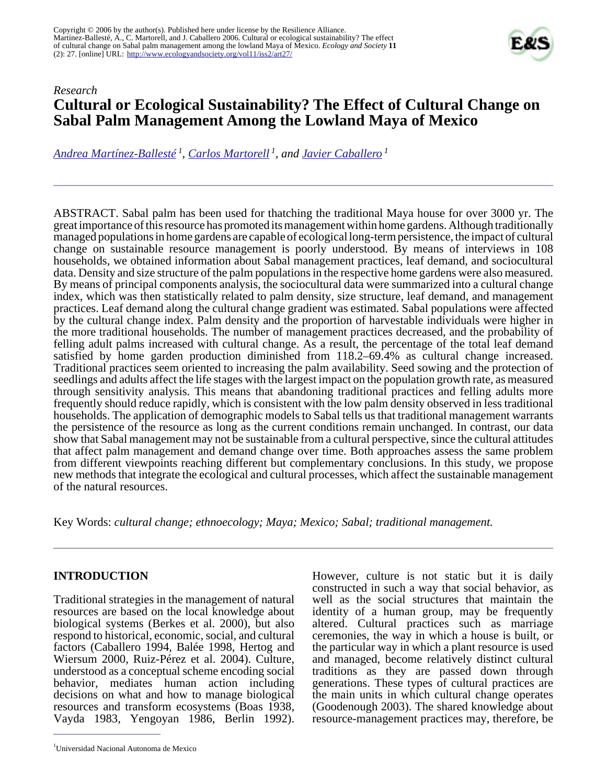

# *Research* **Cultural or Ecological Sustainability? The Effect of Cultural Change on Sabal Palm Management Among the Lowland Maya of Mexico**

*[Andrea Martínez-Ballesté](mailto:mba@ibiologia.unam.mx)<sup>1</sup> , [Carlos Martorell](mailto:martorel@miranda.ecologia.unam.mx)<sup>1</sup>, and [Javier Caballero](mailto:jcaballero@ibiologia.unam.mx)<sup>1</sup>*

ABSTRACT. Sabal palm has been used for thatching the traditional Maya house for over 3000 yr. The great importance of this resource has promoted its management within home gardens. Although traditionally managed populations in home gardens are capable of ecological long-term persistence, the impact of cultural change on sustainable resource management is poorly understood. By means of interviews in 108 households, we obtained information about Sabal management practices, leaf demand, and sociocultural data. Density and size structure of the palm populations in the respective home gardens were also measured. By means of principal components analysis, the sociocultural data were summarized into a cultural change index, which was then statistically related to palm density, size structure, leaf demand, and management practices. Leaf demand along the cultural change gradient was estimated. Sabal populations were affected by the cultural change index. Palm density and the proportion of harvestable individuals were higher in the more traditional households. The number of management practices decreased, and the probability of felling adult palms increased with cultural change. As a result, the percentage of the total leaf demand satisfied by home garden production diminished from 118.2–69.4% as cultural change increased. Traditional practices seem oriented to increasing the palm availability. Seed sowing and the protection of seedlings and adults affect the life stages with the largest impact on the population growth rate, as measured through sensitivity analysis. This means that abandoning traditional practices and felling adults more frequently should reduce rapidly, which is consistent with the low palm density observed in less traditional households. The application of demographic models to Sabal tells us that traditional management warrants the persistence of the resource as long as the current conditions remain unchanged. In contrast, our data show that Sabal management may not be sustainable from a cultural perspective, since the cultural attitudes that affect palm management and demand change over time. Both approaches assess the same problem from different viewpoints reaching different but complementary conclusions. In this study, we propose new methods that integrate the ecological and cultural processes, which affect the sustainable management of the natural resources.

Key Words: *cultural change; ethnoecology; Maya; Mexico; Sabal; traditional management.*

### **INTRODUCTION**

Traditional strategies in the management of natural resources are based on the local knowledge about biological systems (Berkes et al. 2000), but also respond to historical, economic, social, and cultural factors (Caballero 1994, Balée 1998, Hertog and Wiersum 2000, Ruiz-Pérez et al. 2004). Culture, understood as a conceptual scheme encoding social behavior, mediates human action including decisions on what and how to manage biological resources and transform ecosystems (Boas 1938, Vayda 1983, Yengoyan 1986, Berlin 1992).

<sup>1</sup>Universidad Nacional Autonoma de Mexico

However, culture is not static but it is daily constructed in such a way that social behavior, as well as the social structures that maintain the identity of a human group, may be frequently altered. Cultural practices such as marriage ceremonies, the way in which a house is built, or the particular way in which a plant resource is used and managed, become relatively distinct cultural traditions as they are passed down through generations. These types of cultural practices are the main units in which cultural change operates (Goodenough 2003). The shared knowledge about resource-management practices may, therefore, be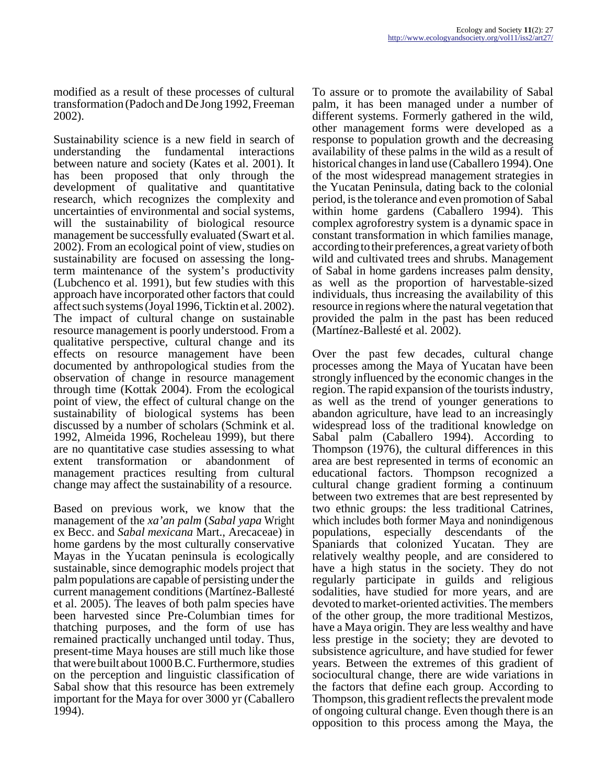modified as a result of these processes of cultural transformation (Padoch and De Jong 1992, Freeman 2002).

Sustainability science is a new field in search of understanding the fundamental interactions between nature and society (Kates et al. 2001). It has been proposed that only through the development of qualitative and quantitative research, which recognizes the complexity and uncertainties of environmental and social systems, will the sustainability of biological resource management be successfully evaluated (Swart et al. 2002). From an ecological point of view, studies on sustainability are focused on assessing the longterm maintenance of the system's productivity (Lubchenco et al. 1991), but few studies with this approach have incorporated other factors that could affect such systems (Joyal 1996, Ticktin et al. 2002). The impact of cultural change on sustainable resource management is poorly understood. From a qualitative perspective, cultural change and its effects on resource management have been documented by anthropological studies from the observation of change in resource management through time (Kottak 2004). From the ecological point of view, the effect of cultural change on the sustainability of biological systems has been discussed by a number of scholars (Schmink et al. 1992, Almeida 1996, Rocheleau 1999), but there are no quantitative case studies assessing to what extent transformation or abandonment of management practices resulting from cultural change may affect the sustainability of a resource.

Based on previous work, we know that the management of the *xa'an palm* (*Sabal yapa* Wright ex Becc. and *Sabal mexicana* Mart., Arecaceae) in home gardens by the most culturally conservative Mayas in the Yucatan peninsula is ecologically sustainable, since demographic models project that palm populations are capable of persisting under the current management conditions (Martínez-Ballesté et al. 2005). The leaves of both palm species have been harvested since Pre-Columbian times for thatching purposes, and the form of use has remained practically unchanged until today. Thus, present-time Maya houses are still much like those that were built about 1000 B.C. Furthermore, studies on the perception and linguistic classification of Sabal show that this resource has been extremely important for the Maya for over 3000 yr (Caballero 1994).

To assure or to promote the availability of Sabal palm, it has been managed under a number of different systems. Formerly gathered in the wild, other management forms were developed as a response to population growth and the decreasing availability of these palms in the wild as a result of historical changes in land use (Caballero 1994). One of the most widespread management strategies in the Yucatan Peninsula, dating back to the colonial period, is the tolerance and even promotion of Sabal within home gardens (Caballero 1994). This complex agroforestry system is a dynamic space in constant transformation in which families manage, according to their preferences, a great variety of both wild and cultivated trees and shrubs. Management of Sabal in home gardens increases palm density, as well as the proportion of harvestable-sized individuals, thus increasing the availability of this resource in regions where the natural vegetation that provided the palm in the past has been reduced (Martínez-Ballesté et al. 2002).

Over the past few decades, cultural change processes among the Maya of Yucatan have been strongly influenced by the economic changes in the region. The rapid expansion of the tourists industry, as well as the trend of younger generations to abandon agriculture, have lead to an increasingly widespread loss of the traditional knowledge on Sabal palm (Caballero 1994). According to Thompson (1976), the cultural differences in this area are best represented in terms of economic an educational factors. Thompson recognized a cultural change gradient forming a continuum between two extremes that are best represented by two ethnic groups: the less traditional Catrines, which includes both former Maya and nonindigenous populations, especially descendants of the Spaniards that colonized Yucatan. They are relatively wealthy people, and are considered to have a high status in the society. They do not regularly participate in guilds and religious sodalities, have studied for more years, and are devoted to market-oriented activities. The members of the other group, the more traditional Mestizos, have a Maya origin. They are less wealthy and have less prestige in the society; they are devoted to subsistence agriculture, and have studied for fewer years. Between the extremes of this gradient of sociocultural change, there are wide variations in the factors that define each group. According to Thompson, this gradient reflects the prevalent mode of ongoing cultural change. Even though there is an opposition to this process among the Maya, the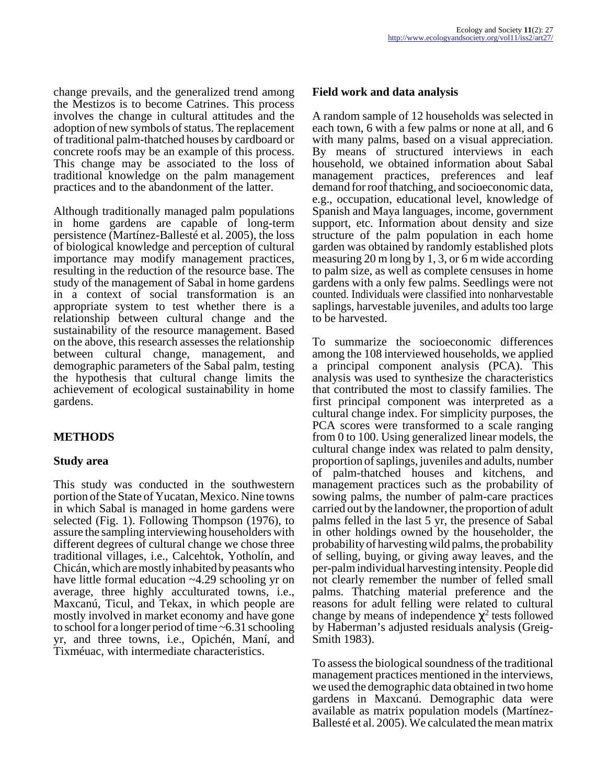change prevails, and the generalized trend among the Mestizos is to become Catrines. This process involves the change in cultural attitudes and the adoption of new symbols of status. The replacement of traditional palm-thatched houses by cardboard or concrete roofs may be an example of this process. This change may be associated to the loss of traditional knowledge on the palm management practices and to the abandonment of the latter.

Although traditionally managed palm populations in home gardens are capable of long-term persistence (Martínez-Ballesté et al. 2005), the loss of biological knowledge and perception of cultural importance may modify management practices, resulting in the reduction of the resource base. The study of the management of Sabal in home gardens in a context of social transformation is an appropriate system to test whether there is a relationship between cultural change and the sustainability of the resource management. Based on the above, this research assesses the relationship between cultural change, management, and demographic parameters of the Sabal palm, testing the hypothesis that cultural change limits the achievement of ecological sustainability in home gardens.

# **METHODS**

# **Study area**

This study was conducted in the southwestern portion of the State of Yucatan, Mexico. Nine towns in which Sabal is managed in home gardens were selected (Fig. 1). Following Thompson (1976), to assure the sampling interviewing householders with different degrees of cultural change we chose three traditional villages, i.e., Calcehtok, Yotholín, and Chicán, which are mostly inhabited by peasants who have little formal education ~4.29 schooling yr on average, three highly acculturated towns, i.e., Maxcanú, Ticul, and Tekax, in which people are mostly involved in market economy and have gone to school for a longer period of time ~6.31 schooling yr, and three towns, i.e., Opichén, Maní, and Tixméuac, with intermediate characteristics.

### **Field work and data analysis**

A random sample of 12 households was selected in each town, 6 with a few palms or none at all, and 6 with many palms, based on a visual appreciation. By means of structured interviews in each household, we obtained information about Sabal management practices, preferences and leaf demand for roof thatching, and socioeconomic data, e.g., occupation, educational level, knowledge of Spanish and Maya languages, income, government support, etc. Information about density and size structure of the palm population in each home garden was obtained by randomly established plots measuring 20 m long by 1, 3, or 6 m wide according to palm size, as well as complete censuses in home gardens with a only few palms. Seedlings were not counted. Individuals were classified into nonharvestable saplings, harvestable juveniles, and adults too large to be harvested.

To summarize the socioeconomic differences among the 108 interviewed households, we applied a principal component analysis (PCA). This analysis was used to synthesize the characteristics that contributed the most to classify families. The first principal component was interpreted as a cultural change index. For simplicity purposes, the PCA scores were transformed to a scale ranging from 0 to 100. Using generalized linear models, the cultural change index was related to palm density, proportion of saplings, juveniles and adults, number of palm-thatched houses and kitchens, and management practices such as the probability of sowing palms, the number of palm-care practices carried out by the landowner, the proportion of adult palms felled in the last 5 yr, the presence of Sabal in other holdings owned by the householder, the probability of harvesting wild palms, the probability of selling, buying, or giving away leaves, and the per-palm individual harvesting intensity. People did not clearly remember the number of felled small palms. Thatching material preference and the reasons for adult felling were related to cultural change by means of independence  $\chi^2$  tests followed by Haberman's adjusted residuals analysis (Greig-Smith 1983).

To assess the biological soundness of the traditional management practices mentioned in the interviews, we used the demographic data obtained in two home gardens in Maxcanú. Demographic data were available as matrix population models (Martínez-Ballesté et al. 2005). We calculated the mean matrix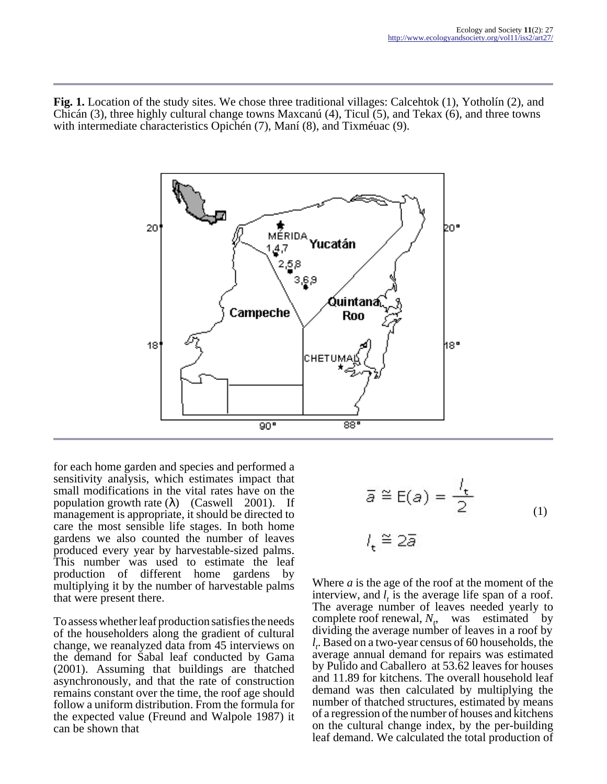**Fig. 1.** Location of the study sites. We chose three traditional villages: Calcehtok (1), Yotholín (2), and Chicán (3), three highly cultural change towns Maxcanú (4), Ticul (5), and Tekax (6), and three towns with intermediate characteristics Opichén (7), Maní (8), and Tixméuac (9).



for each home garden and species and performed a sensitivity analysis, which estimates impact that small modifications in the vital rates have on the population growth rate  $(\lambda)$  (Caswell 2001). If management is appropriate, it should be directed to care the most sensible life stages. In both home gardens we also counted the number of leaves produced every year by harvestable-sized palms. This number was used to estimate the leaf production of different home gardens by multiplying it by the number of harvestable palms that were present there.

To assess whether leaf production satisfies the needs of the householders along the gradient of cultural change, we reanalyzed data from 45 interviews on the demand for Sabal leaf conducted by Gama (2001). Assuming that buildings are thatched asynchronously, and that the rate of construction remains constant over the time, the roof age should follow a uniform distribution. From the formula for the expected value (Freund and Walpole 1987) it can be shown that

$$
\overline{a} \cong E(a) = \frac{l_{\mathbf{t}}}{2}
$$
\n
$$
l_{\mathbf{t}} \cong 2\overline{a}
$$
\n(1)

Where *a* is the age of the roof at the moment of the interview, and  $l_t$  is the average life span of a roof. The average number of leaves needed yearly to complete roof renewal,  $N_t$ , was estimated by dividing the average number of leaves in a roof by *l t* . Based on a two-year census of 60 households, the average annual demand for repairs was estimated by Pulido and Caballero at 53.62 leaves for houses and 11.89 for kitchens. The overall household leaf demand was then calculated by multiplying the number of thatched structures, estimated by means of a regression of the number of houses and kitchens on the cultural change index, by the per-building leaf demand. We calculated the total production of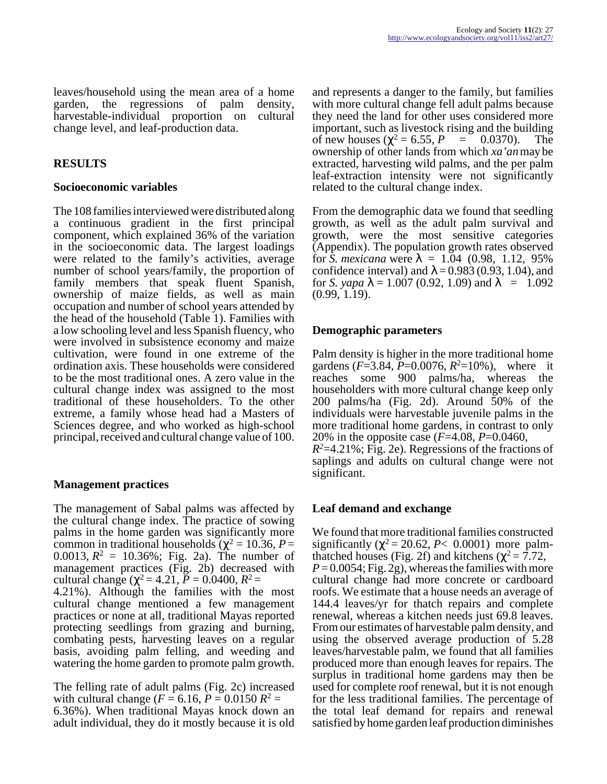leaves/household using the mean area of a home garden, the regressions of palm density, harvestable-individual proportion on cultural change level, and leaf-production data.

## **RESULTS**

#### **Socioeconomic variables**

The 108 families interviewed were distributed along a continuous gradient in the first principal component, which explained 36% of the variation in the socioeconomic data. The largest loadings were related to the family's activities, average number of school years/family, the proportion of family members that speak fluent Spanish, ownership of maize fields, as well as main occupation and number of school years attended by the head of the household (Table 1). Families with a low schooling level and less Spanish fluency, who were involved in subsistence economy and maize cultivation, were found in one extreme of the ordination axis. These households were considered to be the most traditional ones. A zero value in the cultural change index was assigned to the most traditional of these householders. To the other extreme, a family whose head had a Masters of Sciences degree, and who worked as high-school principal, received and cultural change value of 100.

### **Management practices**

The management of Sabal palms was affected by the cultural change index. The practice of sowing palms in the home garden was significantly more common in traditional households ( $\chi^2$  = 10.36, *P* = 0.0013,  $R^2 = 10.36\%$ ; Fig. 2a). The number of management practices (Fig. 2b) decreased with cultural change  $(\chi^2 = 4.21, P = 0.0400, R^2 =$ 4.21%). Although the families with the most

cultural change mentioned a few management practices or none at all, traditional Mayas reported protecting seedlings from grazing and burning, combating pests, harvesting leaves on a regular basis, avoiding palm felling, and weeding and watering the home garden to promote palm growth.

The felling rate of adult palms (Fig. 2c) increased with cultural change ( $F = 6.16$ ,  $P = 0.0150 R^2 =$ 6.36%). When traditional Mayas knock down an adult individual, they do it mostly because it is old

and represents a danger to the family, but families with more cultural change fell adult palms because they need the land for other uses considered more important, such as livestock rising and the building of new houses  $(\chi^2 = 6.55, P = 0.0370)$ . The ownership of other lands from which *xa'an* may be extracted, harvesting wild palms, and the per palm leaf-extraction intensity were not significantly related to the cultural change index.

From the demographic data we found that seedling growth, as well as the adult palm survival and growth, were the most sensitive categories (Appendix). The population growth rates observed for *S. mexicana* were  $\lambda = 1.04$  (0.98, 1.12, 95%) confidence interval) and  $\lambda$  = 0.983 (0.93, 1.04), and for *S. yapa*  $\lambda = 1.007$  (0.92, 1.09) and  $\lambda = 1.092$ (0.99, 1.19).

#### **Demographic parameters**

Palm density is higher in the more traditional home gardens  $(F=3.84, P=0.0076, R^2=10\%)$ , where it reaches some 900 palms/ha, whereas the householders with more cultural change keep only 200 palms/ha (Fig. 2d). Around 50% of the individuals were harvestable juvenile palms in the more traditional home gardens, in contrast to only 20% in the opposite case (*F*=4.08, *P*=0.0460,

 $R^2$ =4.21%; Fig. 2e). Regressions of the fractions of saplings and adults on cultural change were not significant.

### **Leaf demand and exchange**

We found that more traditional families constructed significantly ( $\chi^2$  = 20.62, *P*< 0.0001) more palmthatched houses (Fig. 2f) and kitchens ( $\chi^2 = 7.72$ ,  $P = 0.0054$ ; Fig. 2g), whereas the families with more cultural change had more concrete or cardboard roofs. We estimate that a house needs an average of 144.4 leaves/yr for thatch repairs and complete renewal, whereas a kitchen needs just 69.8 leaves. From our estimates of harvestable palm density, and using the observed average production of 5.28 leaves/harvestable palm, we found that all families produced more than enough leaves for repairs. The surplus in traditional home gardens may then be used for complete roof renewal, but it is not enough for the less traditional families. The percentage of the total leaf demand for repairs and renewal satisfied by home garden leaf production diminishes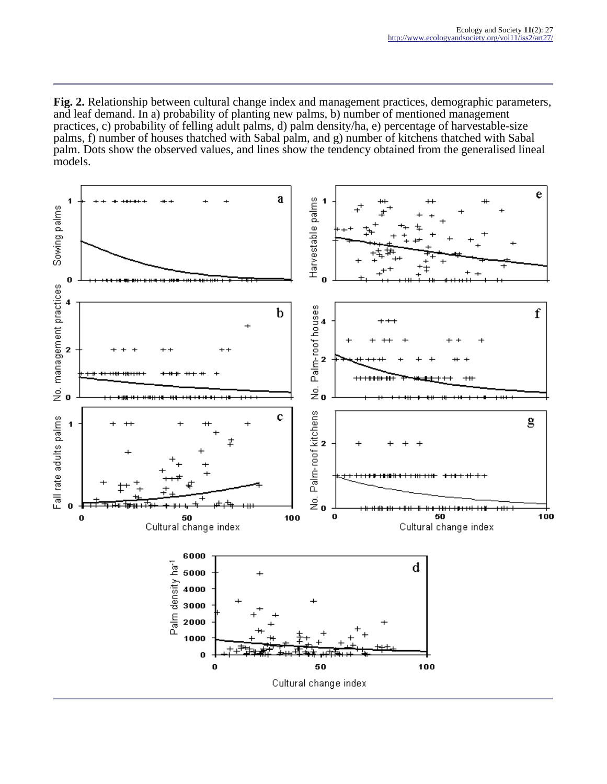**Fig. 2.** Relationship between cultural change index and management practices, demographic parameters, and leaf demand. In a) probability of planting new palms, b) number of mentioned management practices, c) probability of felling adult palms, d) palm density/ha, e) percentage of harvestable-size palms, f) number of houses thatched with Sabal palm, and g) number of kitchens thatched with Sabal palm. Dots show the observed values, and lines show the tendency obtained from the generalised lineal models.

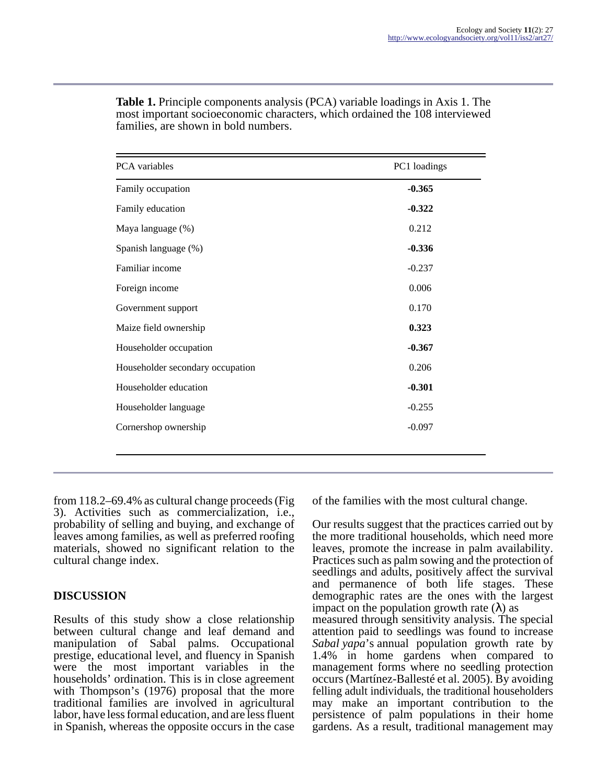| PCA variables                    | PC1 loadings |
|----------------------------------|--------------|
| Family occupation                | $-0.365$     |
| Family education                 | $-0.322$     |
| Maya language (%)                | 0.212        |
| Spanish language (%)             | $-0.336$     |
| Familiar income                  | $-0.237$     |
| Foreign income                   | 0.006        |
| Government support               | 0.170        |
| Maize field ownership            | 0.323        |
| Householder occupation           | $-0.367$     |
| Householder secondary occupation | 0.206        |
| Householder education            | $-0.301$     |
| Householder language             | $-0.255$     |
| Cornershop ownership             | $-0.097$     |
|                                  |              |

**Table 1.** Principle components analysis (PCA) variable loadings in Axis 1. The most important socioeconomic characters, which ordained the 108 interviewed families, are shown in bold numbers.

from 118.2–69.4% as cultural change proceeds (Fig 3). Activities such as commercialization, i.e., probability of selling and buying, and exchange of leaves among families, as well as preferred roofing materials, showed no significant relation to the cultural change index.

# **DISCUSSION**

Results of this study show a close relationship between cultural change and leaf demand and manipulation of Sabal palms. Occupational prestige, educational level, and fluency in Spanish were the most important variables in the households' ordination. This is in close agreement with Thompson's (1976) proposal that the more traditional families are involved in agricultural labor, have less formal education, and are less fluent in Spanish, whereas the opposite occurs in the case

of the families with the most cultural change.

Our results suggest that the practices carried out by the more traditional households, which need more leaves, promote the increase in palm availability. Practices such as palm sowing and the protection of seedlings and adults, positively affect the survival and permanence of both life stages. These demographic rates are the ones with the largest impact on the population growth rate (λ) as measured through sensitivity analysis. The special attention paid to seedlings was found to increase *Sabal yapa*'s annual population growth rate by 1.4% in home gardens when compared to management forms where no seedling protection occurs (Martínez-Ballesté et al. 2005). By avoiding felling adult individuals, the traditional householders may make an important contribution to the persistence of palm populations in their home gardens. As a result, traditional management may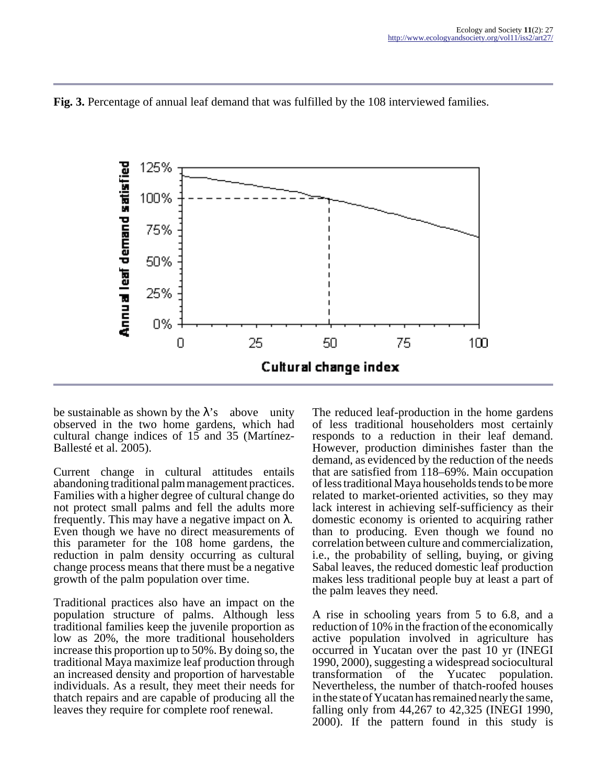

**Fig. 3.** Percentage of annual leaf demand that was fulfilled by the 108 interviewed families.

be sustainable as shown by the  $\lambda$ 's above unity observed in the two home gardens, which had cultural change indices of 15 and 35 (Martínez-Ballesté et al. 2005).

Current change in cultural attitudes entails abandoning traditional palm management practices. Families with a higher degree of cultural change do not protect small palms and fell the adults more frequently. This may have a negative impact on λ. Even though we have no direct measurements of this parameter for the 108 home gardens, the reduction in palm density occurring as cultural change process means that there must be a negative growth of the palm population over time.

Traditional practices also have an impact on the population structure of palms. Although less traditional families keep the juvenile proportion as low as 20%, the more traditional householders increase this proportion up to 50%. By doing so, the traditional Maya maximize leaf production through an increased density and proportion of harvestable individuals. As a result, they meet their needs for thatch repairs and are capable of producing all the leaves they require for complete roof renewal.

The reduced leaf-production in the home gardens of less traditional householders most certainly responds to a reduction in their leaf demand. However, production diminishes faster than the demand, as evidenced by the reduction of the needs that are satisfied from 118–69%. Main occupation of less traditional Maya households tends to be more related to market-oriented activities, so they may lack interest in achieving self-sufficiency as their domestic economy is oriented to acquiring rather than to producing. Even though we found no correlation between culture and commercialization, i.e., the probability of selling, buying, or giving Sabal leaves, the reduced domestic leaf production makes less traditional people buy at least a part of the palm leaves they need.

A rise in schooling years from 5 to 6.8, and a reduction of 10% in the fraction of the economically active population involved in agriculture has occurred in Yucatan over the past 10 yr (INEGI 1990, 2000), suggesting a widespread sociocultural transformation of the Yucatec population. Nevertheless, the number of thatch-roofed houses in the state of Yucatan has remained nearly the same, falling only from 44,267 to 42,325 (INEGI 1990, 2000). If the pattern found in this study is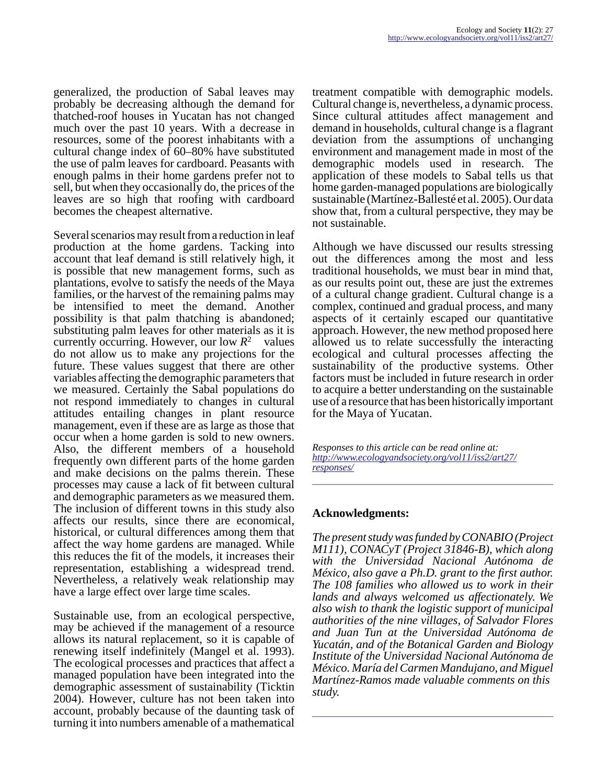generalized, the production of Sabal leaves may probably be decreasing although the demand for thatched-roof houses in Yucatan has not changed much over the past 10 years. With a decrease in resources, some of the poorest inhabitants with a cultural change index of 60–80% have substituted the use of palm leaves for cardboard. Peasants with enough palms in their home gardens prefer not to sell, but when they occasionally do, the prices of the leaves are so high that roofing with cardboard becomes the cheapest alternative.

Several scenarios may result from a reduction in leaf production at the home gardens. Tacking into account that leaf demand is still relatively high, it is possible that new management forms, such as plantations, evolve to satisfy the needs of the Maya families, or the harvest of the remaining palms may be intensified to meet the demand. Another possibility is that palm thatching is abandoned; substituting palm leaves for other materials as it is currently occurring. However, our low *R* 2 values do not allow us to make any projections for the future. These values suggest that there are other variables affecting the demographic parameters that we measured. Certainly the Sabal populations do not respond immediately to changes in cultural attitudes entailing changes in plant resource management, even if these are as large as those that occur when a home garden is sold to new owners. Also, the different members of a household frequently own different parts of the home garden and make decisions on the palms therein. These processes may cause a lack of fit between cultural and demographic parameters as we measured them. The inclusion of different towns in this study also affects our results, since there are economical, historical, or cultural differences among them that affect the way home gardens are managed. While this reduces the fit of the models, it increases their representation, establishing a widespread trend. Nevertheless, a relatively weak relationship may have a large effect over large time scales.

Sustainable use, from an ecological perspective, may be achieved if the management of a resource allows its natural replacement, so it is capable of renewing itself indefinitely (Mangel et al. 1993). The ecological processes and practices that affect a managed population have been integrated into the demographic assessment of sustainability (Ticktin 2004). However, culture has not been taken into account, probably because of the daunting task of turning it into numbers amenable of a mathematical

treatment compatible with demographic models. Cultural change is, nevertheless, a dynamic process. Since cultural attitudes affect management and demand in households, cultural change is a flagrant deviation from the assumptions of unchanging environment and management made in most of the demographic models used in research. The application of these models to Sabal tells us that home garden-managed populations are biologically sustainable (Martínez-Ballesté et al. 2005). Our data show that, from a cultural perspective, they may be not sustainable.

Although we have discussed our results stressing out the differences among the most and less traditional households, we must bear in mind that, as our results point out, these are just the extremes of a cultural change gradient. Cultural change is a complex, continued and gradual process, and many aspects of it certainly escaped our quantitative approach. However, the new method proposed here allowed us to relate successfully the interacting ecological and cultural processes affecting the sustainability of the productive systems. Other factors must be included in future research in order to acquire a better understanding on the sustainable use of a resource that has been historically important for the Maya of Yucatan.

*Responses to this article can be read online at: [http://www](http://www.ecologyandsociety.org/vol11/iss2/art27/responses/).ecologyandsociety.org/vol11/iss2/art27/ responses/*

### **Acknowledgments:**

*The present study was funded by CONABIO (Project M111), CONACyT (Project 31846-B), which along with the Universidad Nacional Autónoma de México, also gave a Ph.D. grant to the first author. The 108 families who allowed us to work in their lands and always welcomed us affectionately. We also wish to thank the logistic support of municipal authorities of the nine villages, of Salvador Flores and Juan Tun at the Universidad Autónoma de Yucatán, and of the Botanical Garden and Biology Institute of the Universidad Nacional Autónoma de México. María del Carmen Mandujano, and Miguel Martínez-Ramos made valuable comments on this study.*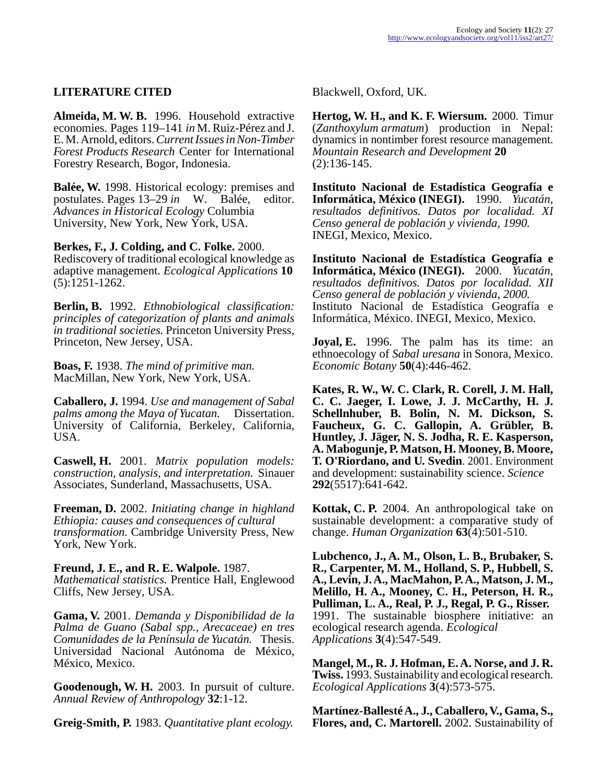## **LITERATURE CITED**

**Almeida, M. W. B.** 1996. Household extractive economies. Pages 119–141 *in* M. Ruiz-Pérez and J. E. M. Arnold, editors. *Current Issues in Non-Timber Forest Products Research* Center for International Forestry Research, Bogor, Indonesia.

**Balée, W.** 1998. Historical ecology: premises and postulates. Pages 13–29 *in* W. Balée, editor. *Advances in Historical Ecology* Columbia University, New York, New York, USA.

**Berkes, F., J. Colding, and C. Folke.** 2000. Rediscovery of traditional ecological knowledge as adaptive management. *Ecological Applications* **10** (5):1251-1262.

**Berlin, B.** 1992. *Ethnobiological classification: principles of categorization of plants and animals in traditional societies.* Princeton University Press, Princeton, New Jersey, USA.

**Boas, F.** 1938. *The mind of primitive man.* MacMillan, New York, New York, USA.

**Caballero, J.** 1994. *Use and management of Sabal palms among the Maya of Yucatan.* Dissertation. University of California, Berkeley, California, USA.

**Caswell, H.** 2001. *Matrix population models: construction, analysis, and interpretation.* Sinauer Associates, Sunderland, Massachusetts, USA.

**Freeman, D.** 2002. *Initiating change in highland Ethiopia: causes and consequences of cultural transformation.* Cambridge University Press, New York, New York.

**Freund, J. E., and R. E. Walpole.** 1987. *Mathematical statistics.* Prentice Hall, Englewood Cliffs, New Jersey, USA.

**Gama, V.** 2001. *Demanda y Disponibilidad de la Palma de Guano (Sabal spp., Arecaceae) en tres Comunidades de la Península de Yucatán.* Thesis. Universidad Nacional Autónoma de México, México, Mexico.

**Goodenough, W. H.** 2003. In pursuit of culture. *Annual Review of Anthropology* **32**:1-12.

**Greig-Smith, P.** 1983. *Quantitative plant ecology.*

Blackwell, Oxford, UK.

**Hertog, W. H., and K. F. Wiersum.** 2000. Timur (*Zanthoxylum armatum*) production in Nepal: dynamics in nontimber forest resource management. *Mountain Research and Development* **20** (2):136-145.

**Instituto Nacional de Estadística Geografía e Informática, México (INEGI).** 1990. *Yucatán, resultados definitivos. Datos por localidad. XI Censo general de población y vivienda, 1990.* INEGI, Mexico, Mexico.

**Instituto Nacional de Estadística Geografía e Informática, México (INEGI).** 2000. *Yucatán, resultados definitivos. Datos por localidad. XII Censo general de población y vivienda, 2000.* Instituto Nacional de Estadística Geografía e Informática, México. INEGI, Mexico, Mexico.

**Joyal, E.** 1996. The palm has its time: an ethnoecology of *Sabal uresana* in Sonora, Mexico. *Economic Botany* **50**(4):446-462.

**Kates, R. W., W. C. Clark, R. Corell, J. M. Hall, C. C. Jaeger, I. Lowe, J. J. McCarthy, H. J. Schellnhuber, B. Bolin, N. M. Dickson, S. Faucheux, G. C. Gallopin, A. Grübler, B. Huntley, J. Jäger, N. S. Jodha, R. E. Kasperson, A. Mabogunje, P. Matson, H. Mooney, B. Moore, T. O'Riordano, and U. Svedin**. 2001. Environment and development: sustainability science. *Science* **292**(5517):641-642.

**Kottak, C. P.** 2004. An anthropological take on sustainable development: a comparative study of change. *Human Organization* **63**(4):501-510.

**Lubchenco, J., A. M., Olson, L. B., Brubaker, S. R., Carpenter, M. M., Holland, S. P., Hubbell, S. A., Levin, J. A., MacMahon, P. A., Matson, J. M., Melillo, H. A., Mooney, C. H., Peterson, H. R., Pulliman, L. A., Real, P. J., Regal, P. G., Risser.** 1991. The sustainable biosphere initiative: an ecological research agenda. *Ecological Applications* **3**(4):547-549.

**Mangel, M., R. J. Hofman, E. A. Norse, and J. R. Twiss.** 1993. Sustainability and ecological research. *Ecological Applications* **3**(4):573-575.

**Martínez-Ballesté A., J., Caballero, V., Gama, S., Flores, and, C. Martorell.** 2002. Sustainability of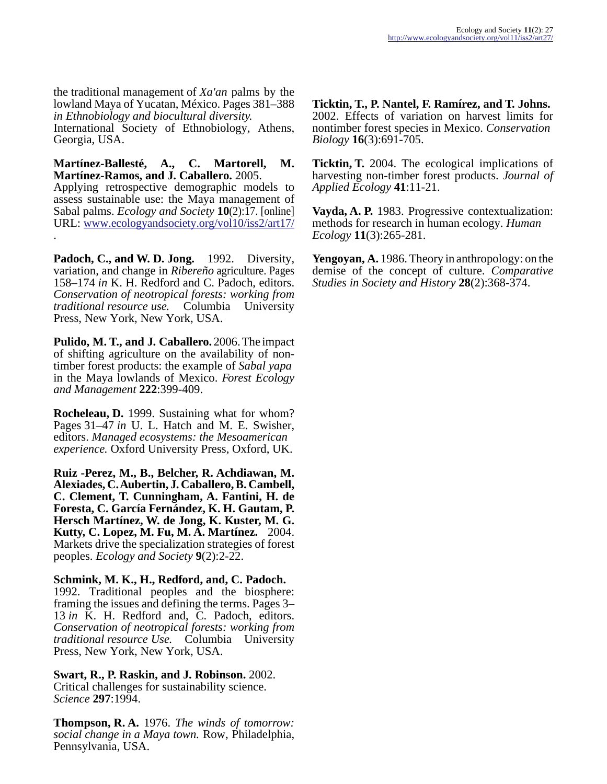the traditional management of *Xa'an* palms by the lowland Maya of Yucatan, México. Pages 381–388 *in Ethnobiology and biocultural diversity.*

International Society of Ethnobiology, Athens, Georgia, USA.

**Martínez-Ballesté, A., C. Martorell, M. Martínez-Ramos, and J. Caballero.** 2005.

Applying retrospective demographic models to assess sustainable use: the Maya management of Sabal palms. *Ecology and Society* **10**(2):17. [online] URL: [www.ecologyandsociety.org/vol10/iss2/art17/](http://www.ecologyandsociety.org/vol10/iss2/art17/) .

Padoch, C., and W. D. Jong. 1992. Diversity, variation, and change in *Ribereño* agriculture. Pages 158–174 *in* K. H. Redford and C. Padoch, editors. *Conservation of neotropical forests: working from traditional resource use.* Columbia University Press, New York, New York, USA.

**Pulido, M. T., and J. Caballero.** 2006. The impact of shifting agriculture on the availability of nontimber forest products: the example of *Sabal yapa* in the Maya lowlands of Mexico. *Forest Ecology and Management* **222**:399-409.

**Rocheleau, D.** 1999. Sustaining what for whom? Pages 31–47 *in* U. L. Hatch and M. E. Swisher, editors. *Managed ecosystems: the Mesoamerican experience.* Oxford University Press, Oxford, UK.

**Ruiz -Perez, M., B., Belcher, R. Achdiawan, M. Alexiades, C. Aubertin, J. Caballero, B. Cambell, C. Clement, T. Cunningham, A. Fantini, H. de Foresta, C. García Fernández, K. H. Gautam, P. Hersch Martínez, W. de Jong, K. Kuster, M. G. Kutty, C. Lopez, M. Fu, M. A. Martínez.** 2004. Markets drive the specialization strategies of forest peoples. *Ecology and Society* **9**(2):2-22.

#### **Schmink, M. K., H., Redford, and, C. Padoch.**

1992. Traditional peoples and the biosphere: framing the issues and defining the terms. Pages 3– 13 *in* K. H. Redford and, C. Padoch, editors. *Conservation of neotropical forests: working from traditional resource Use.* Columbia University Press, New York, New York, USA.

**Swart, R., P. Raskin, and J. Robinson.** 2002. Critical challenges for sustainability science. *Science* **297**:1994.

**Thompson, R. A.** 1976. *The winds of tomorrow: social change in a Maya town.* Row, Philadelphia, Pennsylvania, USA.

**Ticktin, T., P. Nantel, F. Ramírez, and T. Johns.** 2002. Effects of variation on harvest limits for nontimber forest species in Mexico. *Conservation Biology* **16**(3):691-705.

**Ticktin, T.** 2004. The ecological implications of harvesting non-timber forest products. *Journal of Applied Ecology* **41**:11-21.

**Vayda, A. P.** 1983. Progressive contextualization: methods for research in human ecology. *Human Ecology* **11**(3):265-281.

**Yengoyan, A.** 1986. Theory in anthropology: on the demise of the concept of culture. *Comparative Studies in Society and History* **28**(2):368-374.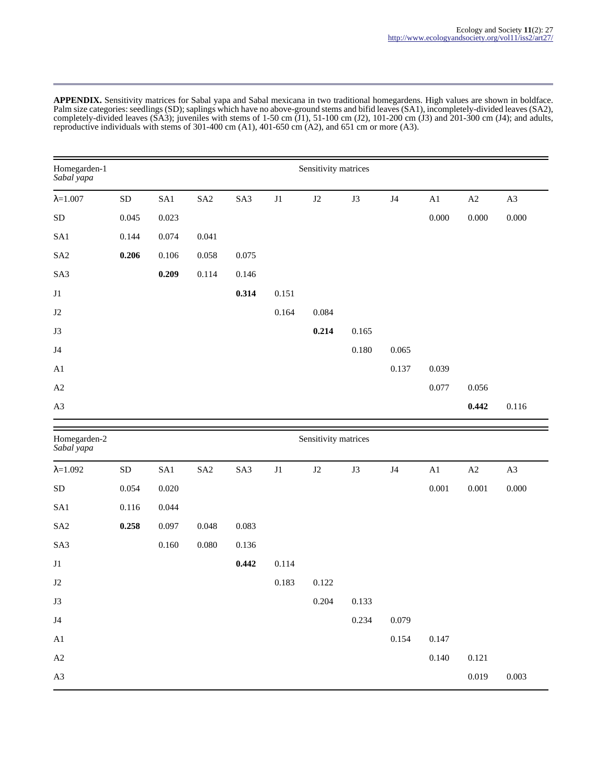**APPENDIX.** Sensitivity matrices for Sabal yapa and Sabal mexicana in two traditional homegardens. High values are shown in boldface. Palm size categories: seedlings (SD); saplings which have no above-ground stems and bifid leaves (SA1), incompletely-divided leaves (SA2), completely-divided leaves (SA3); juveniles with stems of 1-50 cm (J1), 51-100 cm (J2), 101-200 cm (J3) and 201-300 cm (J4); and adults, reproductive individuals with stems of 301-400 cm (A1), 401-650 cm (A2), and 651 cm or more (A3).

| Homegarden-1<br>Sabal yapa | Sensitivity matrices |       |                 |       |               |          |          |                  |       |          |       |
|----------------------------|----------------------|-------|-----------------|-------|---------------|----------|----------|------------------|-------|----------|-------|
| $\lambda = 1.007$          | ${\rm SD}$           | SA1   | SA <sub>2</sub> | SA3   | $\mathbf{J}1$ | $\rm J2$ | $\rm J3$ | $_{\mathrm{J}4}$ | A1    | $\rm A2$ | A3    |
| ${\rm SD}$                 | 0.045                | 0.023 |                 |       |               |          |          |                  | 0.000 | 0.000    | 0.000 |
| SA1                        | 0.144                | 0.074 | 0.041           |       |               |          |          |                  |       |          |       |
| SA <sub>2</sub>            | 0.206                | 0.106 | 0.058           | 0.075 |               |          |          |                  |       |          |       |
| SA3                        |                      | 0.209 | 0.114           | 0.146 |               |          |          |                  |       |          |       |
| $\rm J1$                   |                      |       |                 | 0.314 | 0.151         |          |          |                  |       |          |       |
| J2                         |                      |       |                 |       | 0.164         | 0.084    |          |                  |       |          |       |
| $\mathbf{J}3$              |                      |       |                 |       |               | 0.214    | 0.165    |                  |       |          |       |
| J4                         |                      |       |                 |       |               |          | 0.180    | 0.065            |       |          |       |
| A1                         |                      |       |                 |       |               |          |          | 0.137            | 0.039 |          |       |
| A2                         |                      |       |                 |       |               |          |          |                  | 0.077 | 0.056    |       |
| A3                         |                      |       |                 |       |               |          |          |                  |       | 0.442    | 0.116 |
|                            |                      |       |                 |       |               |          |          |                  |       |          |       |

| Homegarden-2<br>Sabal yapa | Sensitivity matrices |       |                 |       |          |          |       |                  |       |          |       |
|----------------------------|----------------------|-------|-----------------|-------|----------|----------|-------|------------------|-------|----------|-------|
| $\lambda = 1.092$          | ${\rm SD}$           | SA1   | SA <sub>2</sub> | SA3   | $\rm J1$ | $\rm J2$ | J3    | $_{\mathrm{J}4}$ | A1    | $\rm A2$ | A3    |
| ${\rm SD}$                 | 0.054                | 0.020 |                 |       |          |          |       |                  | 0.001 | 0.001    | 0.000 |
| SA1                        | 0.116                | 0.044 |                 |       |          |          |       |                  |       |          |       |
| SA <sub>2</sub>            | 0.258                | 0.097 | 0.048           | 0.083 |          |          |       |                  |       |          |       |
| SA3                        |                      | 0.160 | 0.080           | 0.136 |          |          |       |                  |       |          |       |
| $\rm J1$                   |                      |       |                 | 0.442 | 0.114    |          |       |                  |       |          |       |
| $\rm J2$                   |                      |       |                 |       | 0.183    | 0.122    |       |                  |       |          |       |
| J3                         |                      |       |                 |       |          | 0.204    | 0.133 |                  |       |          |       |
| J <sub>4</sub>             |                      |       |                 |       |          |          | 0.234 | 0.079            |       |          |       |
| A1                         |                      |       |                 |       |          |          |       | 0.154            | 0.147 |          |       |
| $\rm A2$                   |                      |       |                 |       |          |          |       |                  | 0.140 | 0.121    |       |
| A3                         |                      |       |                 |       |          |          |       |                  |       | 0.019    | 0.003 |